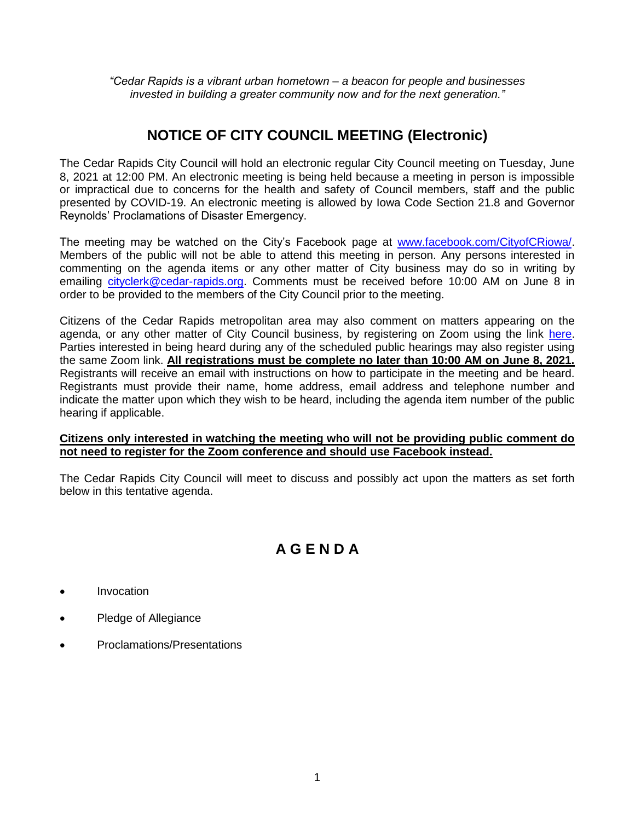*"Cedar Rapids is a vibrant urban hometown – a beacon for people and businesses invested in building a greater community now and for the next generation."*

# **NOTICE OF CITY COUNCIL MEETING (Electronic)**

The Cedar Rapids City Council will hold an electronic regular City Council meeting on Tuesday, June 8, 2021 at 12:00 PM. An electronic meeting is being held because a meeting in person is impossible or impractical due to concerns for the health and safety of Council members, staff and the public presented by COVID-19. An electronic meeting is allowed by Iowa Code Section 21.8 and Governor Reynolds' Proclamations of Disaster Emergency.

The meeting may be watched on the City's Facebook page at www.facebook.com/CityofCRiowa/. Members of the public will not be able to attend this meeting in person. Any persons interested in commenting on the agenda items or any other matter of City business may do so in writing by emailing cityclerk@cedar-rapids.org. Comments must be received before 10:00 AM on June 8 in order to be provided to the members of the City Council prior to the meeting.

Citizens of the Cedar Rapids metropolitan area may also comment on matters appearing on the agenda, or any other matter of City Council business, by registering on Zoom using the link here. Parties interested in being heard during any of the scheduled public hearings may also register using the same Zoom link. **All registrations must be complete no later than 10:00 AM on June 8, 2021.** Registrants will receive an email with instructions on how to participate in the meeting and be heard. Registrants must provide their name, home address, email address and telephone number and indicate the matter upon which they wish to be heard, including the agenda item number of the public hearing if applicable.

#### **Citizens only interested in watching the meeting who will not be providing public comment do not need to register for the Zoom conference and should use Facebook instead.**

The Cedar Rapids City Council will meet to discuss and possibly act upon the matters as set forth below in this tentative agenda.

# **A G E N D A**

- **Invocation**
- Pledge of Allegiance
- Proclamations/Presentations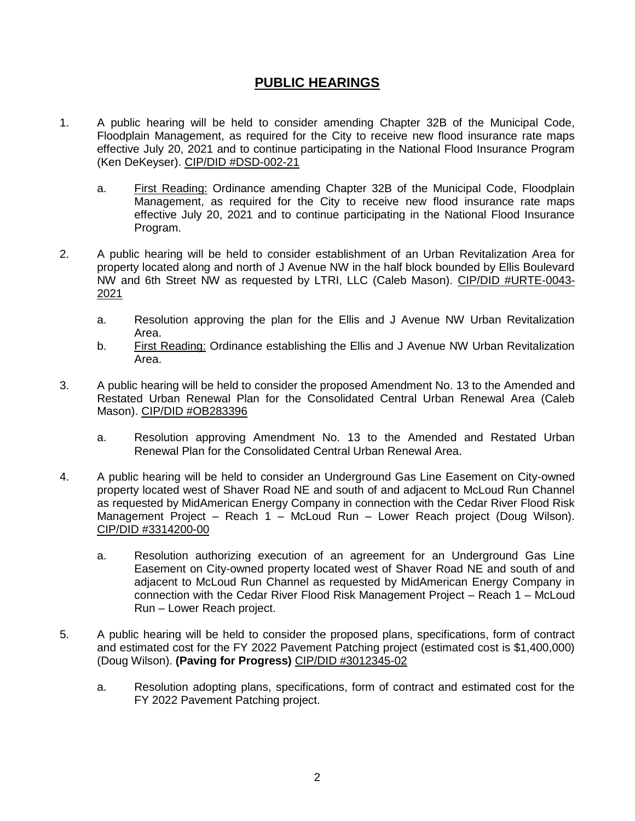### **PUBLIC HEARINGS**

- 1. A public hearing will be held to consider amending Chapter 32B of the Municipal Code, Floodplain Management, as required for the City to receive new flood insurance rate maps effective July 20, 2021 and to continue participating in the National Flood Insurance Program (Ken DeKeyser). CIP/DID #DSD-002-21
	- a. First Reading: Ordinance amending Chapter 32B of the Municipal Code, Floodplain Management, as required for the City to receive new flood insurance rate maps effective July 20, 2021 and to continue participating in the National Flood Insurance Program.
- 2. A public hearing will be held to consider establishment of an Urban Revitalization Area for property located along and north of J Avenue NW in the half block bounded by Ellis Boulevard NW and 6th Street NW as requested by LTRI, LLC (Caleb Mason). CIP/DID #URTE-0043- 2021
	- a. Resolution approving the plan for the Ellis and J Avenue NW Urban Revitalization Area.
	- b. First Reading: Ordinance establishing the Ellis and J Avenue NW Urban Revitalization Area.
- 3. A public hearing will be held to consider the proposed Amendment No. 13 to the Amended and Restated Urban Renewal Plan for the Consolidated Central Urban Renewal Area (Caleb Mason). CIP/DID #OB283396
	- a. Resolution approving Amendment No. 13 to the Amended and Restated Urban Renewal Plan for the Consolidated Central Urban Renewal Area.
- 4. A public hearing will be held to consider an Underground Gas Line Easement on City-owned property located west of Shaver Road NE and south of and adjacent to McLoud Run Channel as requested by MidAmerican Energy Company in connection with the Cedar River Flood Risk Management Project – Reach 1 – McLoud Run – Lower Reach project (Doug Wilson). CIP/DID #3314200-00
	- a. Resolution authorizing execution of an agreement for an Underground Gas Line Easement on City-owned property located west of Shaver Road NE and south of and adjacent to McLoud Run Channel as requested by MidAmerican Energy Company in connection with the Cedar River Flood Risk Management Project – Reach 1 – McLoud Run – Lower Reach project.
- 5. A public hearing will be held to consider the proposed plans, specifications, form of contract and estimated cost for the FY 2022 Pavement Patching project (estimated cost is \$1,400,000) (Doug Wilson). **(Paving for Progress)** CIP/DID #3012345-02
	- a. Resolution adopting plans, specifications, form of contract and estimated cost for the FY 2022 Pavement Patching project.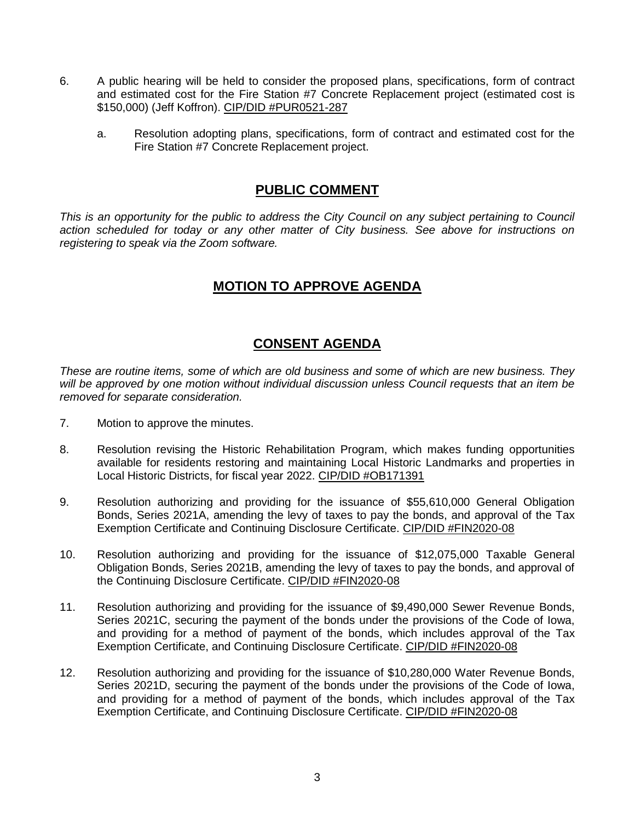- 6. A public hearing will be held to consider the proposed plans, specifications, form of contract and estimated cost for the Fire Station #7 Concrete Replacement project (estimated cost is \$150,000) (Jeff Koffron). CIP/DID #PUR0521-287
	- a. Resolution adopting plans, specifications, form of contract and estimated cost for the Fire Station #7 Concrete Replacement project.

#### **PUBLIC COMMENT**

*This is an opportunity for the public to address the City Council on any subject pertaining to Council action scheduled for today or any other matter of City business. See above for instructions on registering to speak via the Zoom software.*

## **MOTION TO APPROVE AGENDA**

#### **CONSENT AGENDA**

*These are routine items, some of which are old business and some of which are new business. They will be approved by one motion without individual discussion unless Council requests that an item be removed for separate consideration.*

- 7. Motion to approve the minutes.
- 8. Resolution revising the Historic Rehabilitation Program, which makes funding opportunities available for residents restoring and maintaining Local Historic Landmarks and properties in Local Historic Districts, for fiscal year 2022. CIP/DID #OB171391
- 9. Resolution authorizing and providing for the issuance of \$55,610,000 General Obligation Bonds, Series 2021A, amending the levy of taxes to pay the bonds, and approval of the Tax Exemption Certificate and Continuing Disclosure Certificate. CIP/DID #FIN2020-08
- 10. Resolution authorizing and providing for the issuance of \$12,075,000 Taxable General Obligation Bonds, Series 2021B, amending the levy of taxes to pay the bonds, and approval of the Continuing Disclosure Certificate. CIP/DID #FIN2020-08
- 11. Resolution authorizing and providing for the issuance of \$9,490,000 Sewer Revenue Bonds, Series 2021C, securing the payment of the bonds under the provisions of the Code of Iowa, and providing for a method of payment of the bonds, which includes approval of the Tax Exemption Certificate, and Continuing Disclosure Certificate. CIP/DID #FIN2020-08
- 12. Resolution authorizing and providing for the issuance of \$10,280,000 Water Revenue Bonds, Series 2021D, securing the payment of the bonds under the provisions of the Code of Iowa, and providing for a method of payment of the bonds, which includes approval of the Tax Exemption Certificate, and Continuing Disclosure Certificate. CIP/DID #FIN2020-08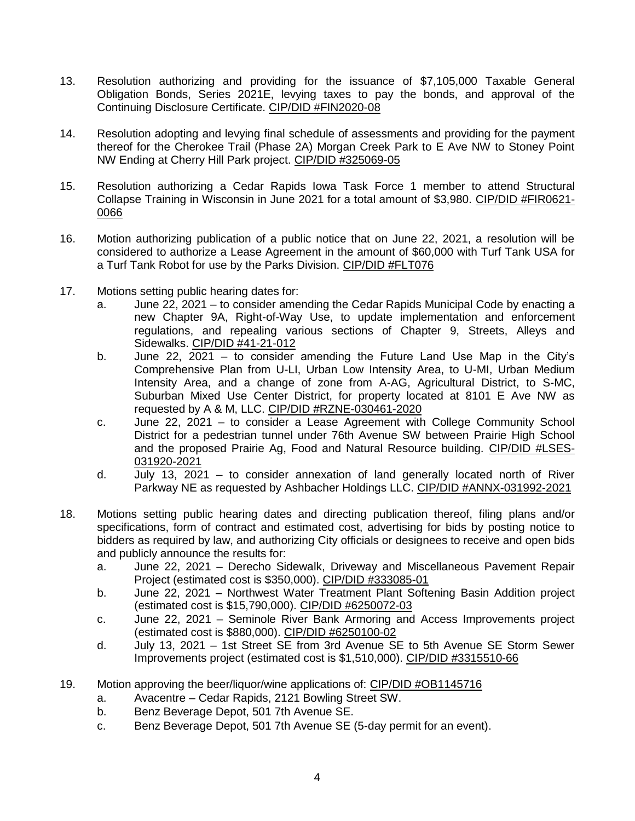- 13. Resolution authorizing and providing for the issuance of \$7,105,000 Taxable General Obligation Bonds, Series 2021E, levying taxes to pay the bonds, and approval of the Continuing Disclosure Certificate. CIP/DID #FIN2020-08
- 14. Resolution adopting and levying final schedule of assessments and providing for the payment thereof for the Cherokee Trail (Phase 2A) Morgan Creek Park to E Ave NW to Stoney Point NW Ending at Cherry Hill Park project. CIP/DID #325069-05
- 15. Resolution authorizing a Cedar Rapids Iowa Task Force 1 member to attend Structural Collapse Training in Wisconsin in June 2021 for a total amount of \$3,980. CIP/DID #FIR0621- 0066
- 16. Motion authorizing publication of a public notice that on June 22, 2021, a resolution will be considered to authorize a Lease Agreement in the amount of \$60,000 with Turf Tank USA for a Turf Tank Robot for use by the Parks Division. CIP/DID #FLT076
- 17. Motions setting public hearing dates for:
	- a. June 22, 2021 to consider amending the Cedar Rapids Municipal Code by enacting a new Chapter 9A, Right-of-Way Use, to update implementation and enforcement regulations, and repealing various sections of Chapter 9, Streets, Alleys and Sidewalks. CIP/DID #41-21-012
	- b. June 22,  $2021 -$  to consider amending the Future Land Use Map in the City's Comprehensive Plan from U-LI, Urban Low Intensity Area, to U-MI, Urban Medium Intensity Area, and a change of zone from A-AG, Agricultural District, to S-MC, Suburban Mixed Use Center District, for property located at 8101 E Ave NW as requested by A & M, LLC. CIP/DID #RZNE-030461-2020
	- c. June 22, 2021 to consider a Lease Agreement with College Community School District for a pedestrian tunnel under 76th Avenue SW between Prairie High School and the proposed Prairie Ag, Food and Natural Resource building. CIP/DID #LSES-031920-2021
	- d. July 13, 2021 to consider annexation of land generally located north of River Parkway NE as requested by Ashbacher Holdings LLC. CIP/DID #ANNX-031992-2021
- 18. Motions setting public hearing dates and directing publication thereof, filing plans and/or specifications, form of contract and estimated cost, advertising for bids by posting notice to bidders as required by law, and authorizing City officials or designees to receive and open bids and publicly announce the results for:
	- a. June 22, 2021 Derecho Sidewalk, Driveway and Miscellaneous Pavement Repair Project (estimated cost is \$350,000). CIP/DID #333085-01
	- b. June 22, 2021 Northwest Water Treatment Plant Softening Basin Addition project (estimated cost is \$15,790,000). CIP/DID #6250072-03
	- c. June 22, 2021 Seminole River Bank Armoring and Access Improvements project (estimated cost is \$880,000). CIP/DID #6250100-02
	- d. July 13, 2021 1st Street SE from 3rd Avenue SE to 5th Avenue SE Storm Sewer Improvements project (estimated cost is \$1,510,000). CIP/DID #3315510-66
- 19. Motion approving the beer/liquor/wine applications of: CIP/DID #OB1145716
	- a. Avacentre Cedar Rapids, 2121 Bowling Street SW.
	- b. Benz Beverage Depot, 501 7th Avenue SE.
	- c. Benz Beverage Depot, 501 7th Avenue SE (5-day permit for an event).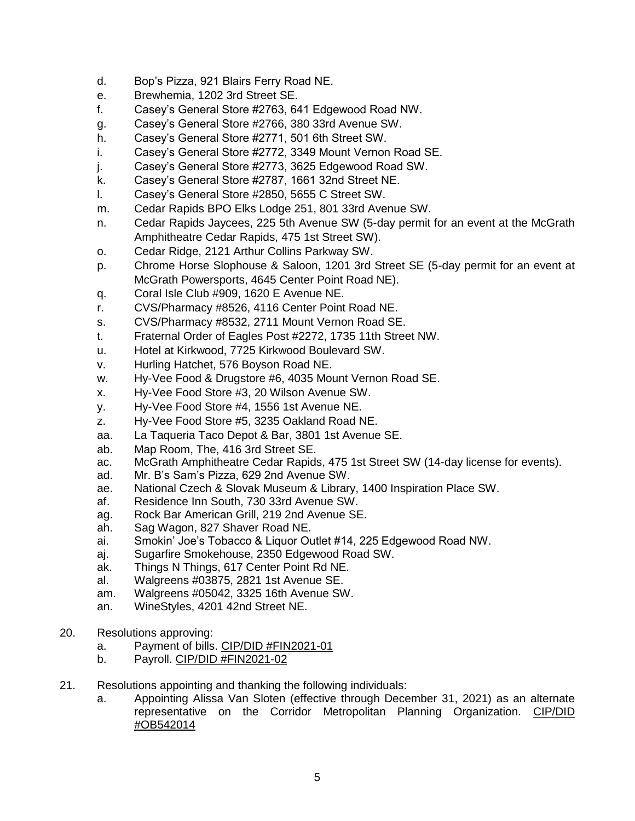- d. Bop's Pizza, 921 Blairs Ferry Road NE.
- e. Brewhemia, 1202 3rd Street SE.
- f. Casey's General Store #2763, 641 Edgewood Road NW.
- g. Casey's General Store #2766, 380 33rd Avenue SW.
- h. Casey's General Store #2771, 501 6th Street SW.
- i. Casey's General Store #2772, 3349 Mount Vernon Road SE.
- j. Casey's General Store #2773, 3625 Edgewood Road SW.
- k. Casey's General Store #2787, 1661 32nd Street NE.
- l. Casey's General Store #2850, 5655 C Street SW.
- m. Cedar Rapids BPO Elks Lodge 251, 801 33rd Avenue SW.
- n. Cedar Rapids Jaycees, 225 5th Avenue SW (5-day permit for an event at the McGrath Amphitheatre Cedar Rapids, 475 1st Street SW).
- o. Cedar Ridge, 2121 Arthur Collins Parkway SW.
- p. Chrome Horse Slophouse & Saloon, 1201 3rd Street SE (5-day permit for an event at McGrath Powersports, 4645 Center Point Road NE).
- q. Coral Isle Club #909, 1620 E Avenue NE.
- r. CVS/Pharmacy #8526, 4116 Center Point Road NE.
- s. CVS/Pharmacy #8532, 2711 Mount Vernon Road SE.
- t. Fraternal Order of Eagles Post #2272, 1735 11th Street NW.
- u. Hotel at Kirkwood, 7725 Kirkwood Boulevard SW.
- v. Hurling Hatchet, 576 Boyson Road NE.
- w. Hy-Vee Food & Drugstore #6, 4035 Mount Vernon Road SE.
- x. Hy-Vee Food Store #3, 20 Wilson Avenue SW.
- y. Hy-Vee Food Store #4, 1556 1st Avenue NE.
- z. Hy-Vee Food Store #5, 3235 Oakland Road NE.
- aa. La Taqueria Taco Depot & Bar, 3801 1st Avenue SE.
- ab. Map Room, The, 416 3rd Street SE.
- ac. McGrath Amphitheatre Cedar Rapids, 475 1st Street SW (14-day license for events).
- ad. Mr. B's Sam's Pizza, 629 2nd Avenue SW.
- ae. National Czech & Slovak Museum & Library, 1400 Inspiration Place SW.
- af. Residence Inn South, 730 33rd Avenue SW.
- ag. Rock Bar American Grill, 219 2nd Avenue SE.
- ah. Sag Wagon, 827 Shaver Road NE.
- ai. Smokin' Joe's Tobacco & Liquor Outlet #14, 225 Edgewood Road NW.
- aj. Sugarfire Smokehouse, 2350 Edgewood Road SW.
- ak. Things N Things, 617 Center Point Rd NE.
- al. Walgreens #03875, 2821 1st Avenue SE.
- am. Walgreens #05042, 3325 16th Avenue SW.
- an. WineStyles, 4201 42nd Street NE.
- 20. Resolutions approving:
	- a. Payment of bills. CIP/DID #FIN2021-01
	- b. Payroll. CIP/DID #FIN2021-02
- 21. Resolutions appointing and thanking the following individuals:
	- a. Appointing Alissa Van Sloten (effective through December 31, 2021) as an alternate representative on the Corridor Metropolitan Planning Organization. CIP/DID #OB542014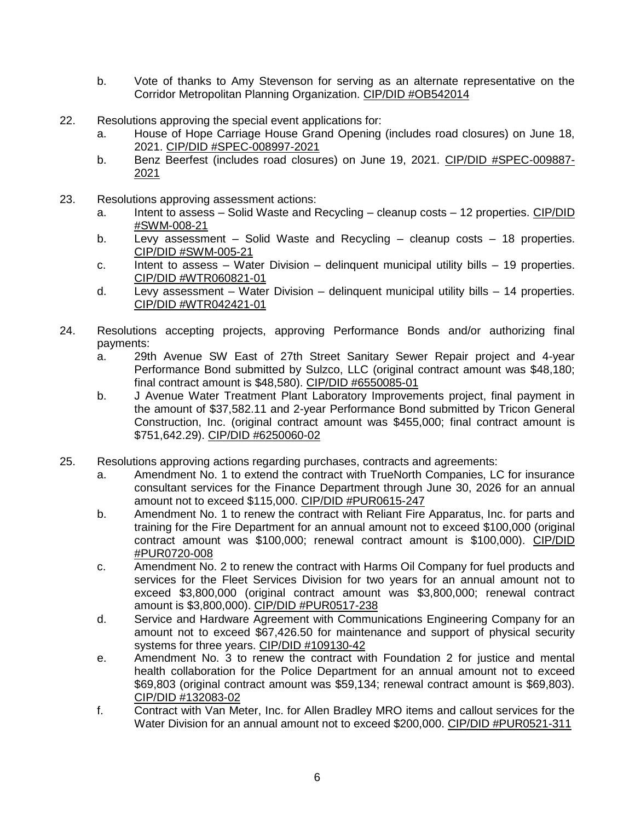- b. Vote of thanks to Amy Stevenson for serving as an alternate representative on the Corridor Metropolitan Planning Organization. CIP/DID #OB542014
- 22. Resolutions approving the special event applications for:
	- a. House of Hope Carriage House Grand Opening (includes road closures) on June 18, 2021. CIP/DID #SPEC-008997-2021
	- b. Benz Beerfest (includes road closures) on June 19, 2021. CIP/DID #SPEC-009887- 2021
- 23. Resolutions approving assessment actions:
	- a. Intent to assess Solid Waste and Recycling cleanup costs 12 properties. CIP/DID #SWM-008-21
	- b. Levy assessment Solid Waste and Recycling cleanup costs 18 properties. CIP/DID #SWM-005-21
	- c. Intent to assess Water Division delinguent municipal utility bills  $-19$  properties. CIP/DID #WTR060821-01
	- d. Levy assessment Water Division delinquent municipal utility bills 14 properties. CIP/DID #WTR042421-01
- 24. Resolutions accepting projects, approving Performance Bonds and/or authorizing final payments:
	- a. 29th Avenue SW East of 27th Street Sanitary Sewer Repair project and 4-year Performance Bond submitted by Sulzco, LLC (original contract amount was \$48,180; final contract amount is \$48,580). CIP/DID #6550085-01
	- b. J Avenue Water Treatment Plant Laboratory Improvements project, final payment in the amount of \$37,582.11 and 2-year Performance Bond submitted by Tricon General Construction, Inc. (original contract amount was \$455,000; final contract amount is \$751,642.29). CIP/DID #6250060-02
- 25. Resolutions approving actions regarding purchases, contracts and agreements:
	- a. Amendment No. 1 to extend the contract with TrueNorth Companies, LC for insurance consultant services for the Finance Department through June 30, 2026 for an annual amount not to exceed \$115,000. CIP/DID #PUR0615-247
	- b. Amendment No. 1 to renew the contract with Reliant Fire Apparatus, Inc. for parts and training for the Fire Department for an annual amount not to exceed \$100,000 (original contract amount was \$100,000; renewal contract amount is \$100,000). CIP/DID #PUR0720-008
	- c. Amendment No. 2 to renew the contract with Harms Oil Company for fuel products and services for the Fleet Services Division for two years for an annual amount not to exceed \$3,800,000 (original contract amount was \$3,800,000; renewal contract amount is \$3,800,000). CIP/DID #PUR0517-238
	- d. Service and Hardware Agreement with Communications Engineering Company for an amount not to exceed \$67,426.50 for maintenance and support of physical security systems for three years. CIP/DID #109130-42
	- e. Amendment No. 3 to renew the contract with Foundation 2 for justice and mental health collaboration for the Police Department for an annual amount not to exceed \$69,803 (original contract amount was \$59,134; renewal contract amount is \$69,803). CIP/DID #132083-02
	- f. Contract with Van Meter, Inc. for Allen Bradley MRO items and callout services for the Water Division for an annual amount not to exceed \$200,000. CIP/DID #PUR0521-311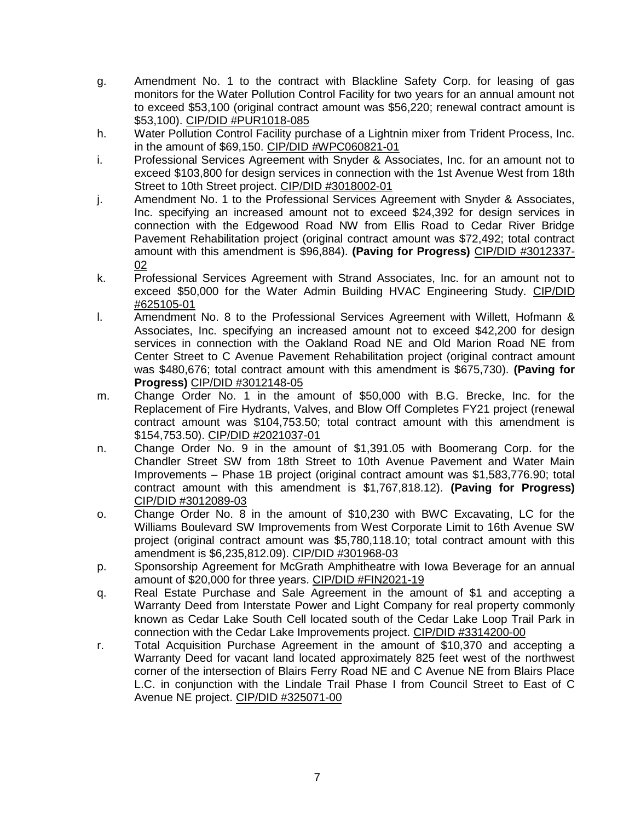- g. Amendment No. 1 to the contract with Blackline Safety Corp. for leasing of gas monitors for the Water Pollution Control Facility for two years for an annual amount not to exceed \$53,100 (original contract amount was \$56,220; renewal contract amount is \$53,100). CIP/DID #PUR1018-085
- h. Water Pollution Control Facility purchase of a Lightnin mixer from Trident Process, Inc. in the amount of \$69,150. CIP/DID #WPC060821-01
- i. Professional Services Agreement with Snyder & Associates, Inc. for an amount not to exceed \$103,800 for design services in connection with the 1st Avenue West from 18th Street to 10th Street project. CIP/DID #3018002-01
- j. Amendment No. 1 to the Professional Services Agreement with Snyder & Associates, Inc. specifying an increased amount not to exceed \$24,392 for design services in connection with the Edgewood Road NW from Ellis Road to Cedar River Bridge Pavement Rehabilitation project (original contract amount was \$72,492; total contract amount with this amendment is \$96,884). **(Paving for Progress)** CIP/DID #3012337- 02
- k. Professional Services Agreement with Strand Associates, Inc. for an amount not to exceed \$50,000 for the Water Admin Building HVAC Engineering Study. CIP/DID #625105-01
- l. Amendment No. 8 to the Professional Services Agreement with Willett, Hofmann & Associates, Inc. specifying an increased amount not to exceed \$42,200 for design services in connection with the Oakland Road NE and Old Marion Road NE from Center Street to C Avenue Pavement Rehabilitation project (original contract amount was \$480,676; total contract amount with this amendment is \$675,730). **(Paving for Progress)** CIP/DID #3012148-05
- m. Change Order No. 1 in the amount of \$50,000 with B.G. Brecke, Inc. for the Replacement of Fire Hydrants, Valves, and Blow Off Completes FY21 project (renewal contract amount was \$104,753.50; total contract amount with this amendment is \$154,753.50). CIP/DID #2021037-01
- n. Change Order No. 9 in the amount of \$1,391.05 with Boomerang Corp. for the Chandler Street SW from 18th Street to 10th Avenue Pavement and Water Main Improvements – Phase 1B project (original contract amount was \$1,583,776.90; total contract amount with this amendment is \$1,767,818.12). **(Paving for Progress)** CIP/DID #3012089-03
- o. Change Order No. 8 in the amount of \$10,230 with BWC Excavating, LC for the Williams Boulevard SW Improvements from West Corporate Limit to 16th Avenue SW project (original contract amount was \$5,780,118.10; total contract amount with this amendment is \$6,235,812.09). CIP/DID #301968-03
- p. Sponsorship Agreement for McGrath Amphitheatre with Iowa Beverage for an annual amount of \$20,000 for three years. CIP/DID #FIN2021-19
- q. Real Estate Purchase and Sale Agreement in the amount of \$1 and accepting a Warranty Deed from Interstate Power and Light Company for real property commonly known as Cedar Lake South Cell located south of the Cedar Lake Loop Trail Park in connection with the Cedar Lake Improvements project. CIP/DID #3314200-00
- r. Total Acquisition Purchase Agreement in the amount of \$10,370 and accepting a Warranty Deed for vacant land located approximately 825 feet west of the northwest corner of the intersection of Blairs Ferry Road NE and C Avenue NE from Blairs Place L.C. in conjunction with the Lindale Trail Phase I from Council Street to East of C Avenue NE project. CIP/DID #325071-00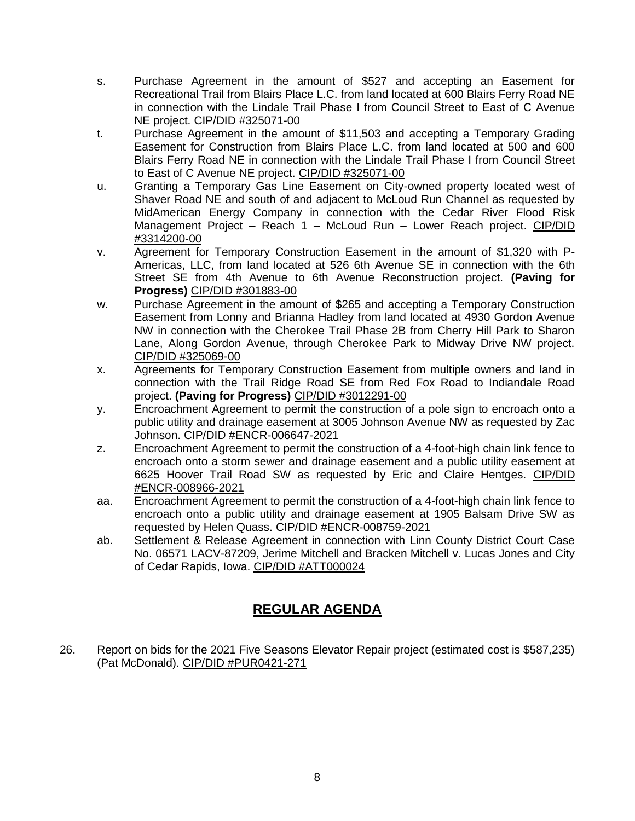- s. Purchase Agreement in the amount of \$527 and accepting an Easement for Recreational Trail from Blairs Place L.C. from land located at 600 Blairs Ferry Road NE in connection with the Lindale Trail Phase I from Council Street to East of C Avenue NE project. CIP/DID #325071-00
- t. Purchase Agreement in the amount of \$11,503 and accepting a Temporary Grading Easement for Construction from Blairs Place L.C. from land located at 500 and 600 Blairs Ferry Road NE in connection with the Lindale Trail Phase I from Council Street to East of C Avenue NE project. CIP/DID #325071-00
- u. Granting a Temporary Gas Line Easement on City-owned property located west of Shaver Road NE and south of and adjacent to McLoud Run Channel as requested by MidAmerican Energy Company in connection with the Cedar River Flood Risk Management Project – Reach 1 – McLoud Run – Lower Reach project. CIP/DID #3314200-00
- v. Agreement for Temporary Construction Easement in the amount of \$1,320 with P-Americas, LLC, from land located at 526 6th Avenue SE in connection with the 6th Street SE from 4th Avenue to 6th Avenue Reconstruction project. **(Paving for Progress)** CIP/DID #301883-00
- w. Purchase Agreement in the amount of \$265 and accepting a Temporary Construction Easement from Lonny and Brianna Hadley from land located at 4930 Gordon Avenue NW in connection with the Cherokee Trail Phase 2B from Cherry Hill Park to Sharon Lane, Along Gordon Avenue, through Cherokee Park to Midway Drive NW project. CIP/DID #325069-00
- x. Agreements for Temporary Construction Easement from multiple owners and land in connection with the Trail Ridge Road SE from Red Fox Road to Indiandale Road project. **(Paving for Progress)** CIP/DID #3012291-00
- y. Encroachment Agreement to permit the construction of a pole sign to encroach onto a public utility and drainage easement at 3005 Johnson Avenue NW as requested by Zac Johnson. CIP/DID #ENCR-006647-2021
- z. Encroachment Agreement to permit the construction of a 4-foot-high chain link fence to encroach onto a storm sewer and drainage easement and a public utility easement at 6625 Hoover Trail Road SW as requested by Eric and Claire Hentges. CIP/DID #ENCR-008966-2021
- aa. Encroachment Agreement to permit the construction of a 4-foot-high chain link fence to encroach onto a public utility and drainage easement at 1905 Balsam Drive SW as requested by Helen Quass. CIP/DID #ENCR-008759-2021
- ab. Settlement & Release Agreement in connection with Linn County District Court Case No. 06571 LACV-87209, Jerime Mitchell and Bracken Mitchell v. Lucas Jones and City of Cedar Rapids, Iowa. CIP/DID #ATT000024

## **REGULAR AGENDA**

26. Report on bids for the 2021 Five Seasons Elevator Repair project (estimated cost is \$587,235) (Pat McDonald). CIP/DID #PUR0421-271